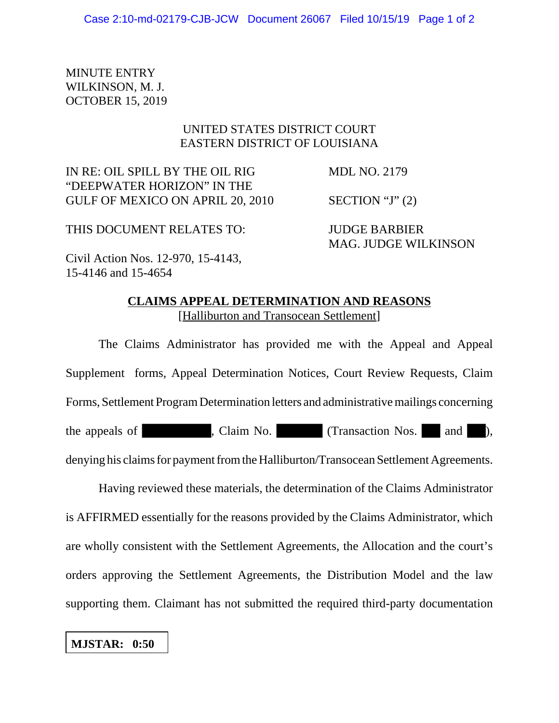MINUTE ENTRY WILKINSON, M. J. OCTOBER 15, 2019

## UNITED STATES DISTRICT COURT EASTERN DISTRICT OF LOUISIANA

IN RE: OIL SPILL BY THE OIL RIG MDL NO. 2179 "DEEPWATER HORIZON" IN THE GULF OF MEXICO ON APRIL 20, 2010 SECTION "J" (2)

THIS DOCUMENT RELATES TO: JUDGE BARBIER

MAG. JUDGE WILKINSON

Civil Action Nos. 12-970, 15-4143, 15-4146 and 15-4654

## **CLAIMS APPEAL DETERMINATION AND REASONS** [Halliburton and Transocean Settlement]

The Claims Administrator has provided me with the Appeal and Appeal Supplement forms, Appeal Determination Notices, Court Review Requests, Claim Forms, Settlement Program Determination letters and administrative mailings concerning the appeals of , Claim No. (Transaction Nos. and ), denying his claims for payment from the Halliburton/Transocean Settlement Agreements.

Having reviewed these materials, the determination of the Claims Administrator is AFFIRMED essentially for the reasons provided by the Claims Administrator, which are wholly consistent with the Settlement Agreements, the Allocation and the court's orders approving the Settlement Agreements, the Distribution Model and the law supporting them. Claimant has not submitted the required third-party documentation

## **MJSTAR: 0:50**